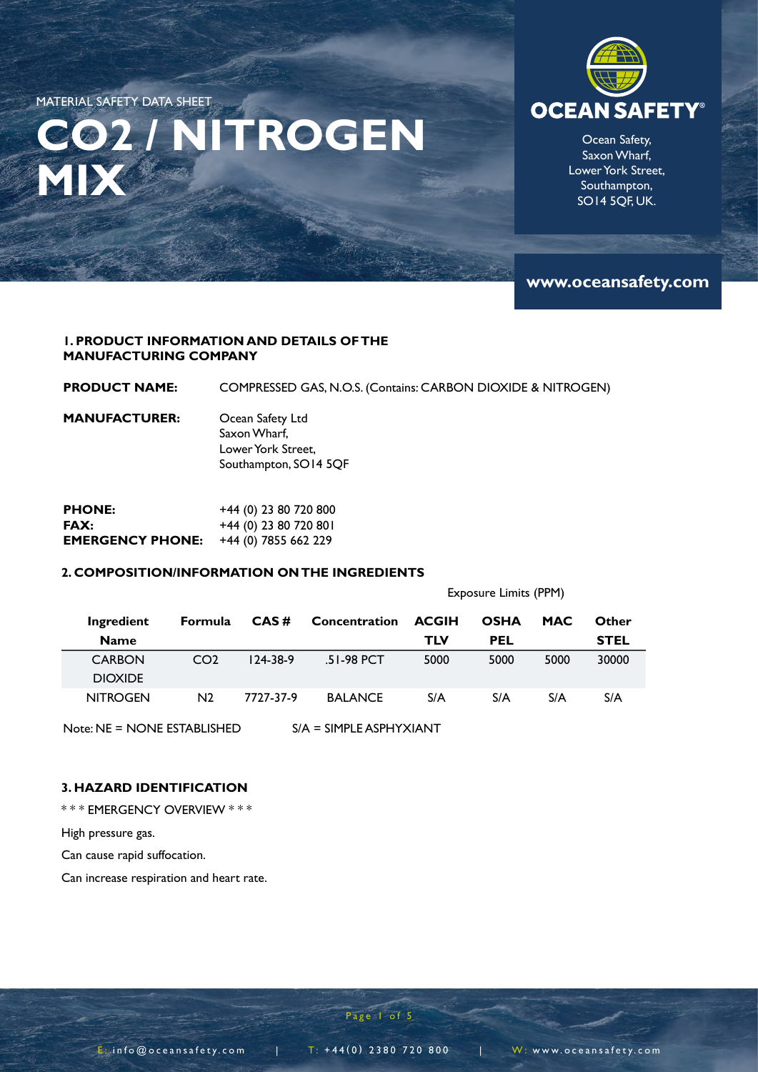## **CO2 / NITROGEN MIX**



Ocean Safety, Saxon Wharf, Lower York Street, Southampton, SO14 5QF, UK.

**www.oceansafety.com**

#### **1. PRODUCT INFORMATION AND DETAILS OF THE MANUFACTURING COMPANY**

**PRODUCT NAME:**  COMPRESSED GAS, N.O.S. (Contains: CARBON DIOXIDE & NITROGEN)

**MANUFACTURER:** Ocean Safety Ltd Saxon Wharf, Lower York Street, Southampton, SO14 5QF

| <b>PHONE:</b>           | $+44$ (0) 23 80 720 800 |
|-------------------------|-------------------------|
| FAX:                    | $+44$ (0) 23 80 720 801 |
| <b>EMERGENCY PHONE:</b> | +44 (0) 7855 662 229    |

#### **2. COMPOSITION/INFORMATION ON THE INGREDIENTS**

Exposure Limits (PPM)

| Ingredient      | <b>Formula</b>  | CAS#           | Concentration  | <b>ACGIH</b> | <b>OSHA</b> | <b>MAC</b> | Other       |
|-----------------|-----------------|----------------|----------------|--------------|-------------|------------|-------------|
| <b>Name</b>     |                 |                |                | TLV          | <b>PEL</b>  |            | <b>STEL</b> |
| <b>CARBON</b>   | CO <sub>2</sub> | $124 - 38 - 9$ | $.51-98$ PCT   | 5000         | 5000        | 5000       | 30000       |
| <b>DIOXIDE</b>  |                 |                |                |              |             |            |             |
| <b>NITROGEN</b> | N2              | 7727-37-9      | <b>BALANCE</b> | S/A          | S/A         | S/A        | S/A         |
|                 |                 |                |                |              |             |            |             |

Note: NE = NONE ESTABLISHED S/A = SIMPLE ASPHYXIANT

#### **3. HAZARD IDENTIFICATION**

\* \* \* EMERGENCY OVERVIEW \* \* \*

High pressure gas.

Can cause rapid suffocation.

Can increase respiration and heart rate.

Page 1 of 5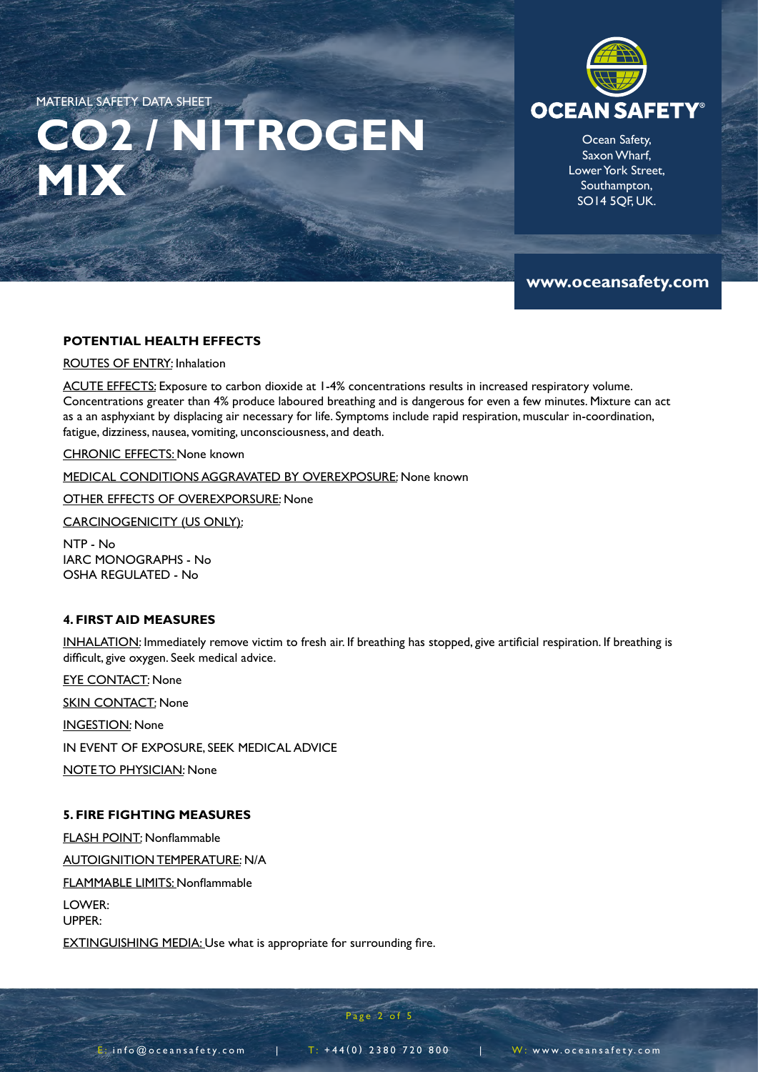# **CO2 / NITROGEN MIX**



Ocean Safety, Saxon Wharf, Lower York Street, Southampton, SO14 5QF, UK.

**www.oceansafety.com**

#### **POTENTIAL HEALTH EFFECTS**

ROUTES OF ENTRY: Inhalation

ACUTE EFFECTS: Exposure to carbon dioxide at 1-4% concentrations results in increased respiratory volume. Concentrations greater than 4% produce laboured breathing and is dangerous for even a few minutes. Mixture can act as a an asphyxiant by displacing air necessary for life. Symptoms include rapid respiration, muscular in-coordination, fatigue, dizziness, nausea, vomiting, unconsciousness, and death.

CHRONIC EFFECTS: None known

MEDICAL CONDITIONS AGGRAVATED BY OVEREXPOSURE: None known

OTHER EFFECTS OF OVEREXPORSURE: None

CARCINOGENICITY (US ONLY):

NTP - No IARC MONOGRAPHS - No OSHA REGULATED - No

#### **4. FIRST AID MEASURES**

INHALATION: Immediately remove victim to fresh air. If breathing has stopped, give artificial respiration. If breathing is difficult, give oxygen. Seek medical advice.

EYE CONTACT: None

**SKIN CONTACT: None** 

INGESTION: None

IN EVENT OF EXPOSURE, SEEK MEDICAL ADVICE

NOTE TO PHYSICIAN: None

#### **5. FIRE FIGHTING MEASURES**

FLASH POINT: Nonflammable AUTOIGNITION TEMPERATURE: N/A FLAMMABLE LIMITS: Nonflammable LOWER: UPPER:

EXTINGUISHING MEDIA: Use what is appropriate for surrounding fire.

 $E_i$  info@oceansafety.com | T: +44(0) 2380 720 800 | W: www.oceansafety.com

Page 2 of 5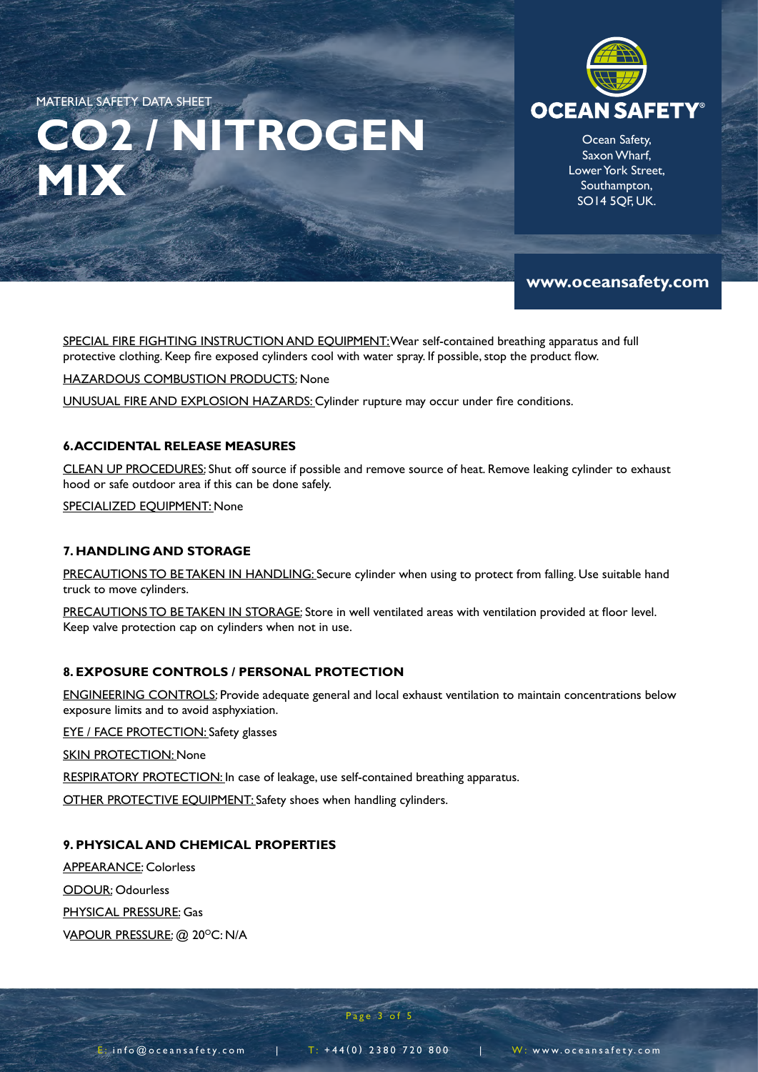# **CO2 / NITROGEN MIX**



Ocean Safety, Saxon Wharf, Lower York Street, Southampton, SO14 5QF, UK.

### **www.oceansafety.com**

SPECIAL FIRE FIGHTING INSTRUCTION AND EQUIPMENT: Wear self-contained breathing apparatus and full protective clothing. Keep fire exposed cylinders cool with water spray. If possible, stop the product flow.

HAZARDOUS COMBUSTION PRODUCTS: None

UNUSUAL FIRE AND EXPLOSION HAZARDS: Cylinder rupture may occur under fire conditions.

#### **6. ACCIDENTAL RELEASE MEASURES**

CLEAN UP PROCEDURES: Shut off source if possible and remove source of heat. Remove leaking cylinder to exhaust hood or safe outdoor area if this can be done safely.

SPECIALIZED EQUIPMENT: None

#### **7. HANDLING AND STORAGE**

PRECAUTIONS TO BE TAKEN IN HANDLING: Secure cylinder when using to protect from falling. Use suitable hand truck to move cylinders.

PRECAUTIONS TO BE TAKEN IN STORAGE: Store in well ventilated areas with ventilation provided at floor level. Keep valve protection cap on cylinders when not in use.

#### **8. EXPOSURE CONTROLS / PERSONAL PROTECTION**

ENGINEERING CONTROLS: Provide adequate general and local exhaust ventilation to maintain concentrations below exposure limits and to avoid asphyxiation.

EYE / FACE PROTECTION: Safety glasses

**SKIN PROTECTION: None** 

RESPIRATORY PROTECTION: In case of leakage, use self-contained breathing apparatus.

OTHER PROTECTIVE EQUIPMENT: Safety shoes when handling cylinders.

#### **9. PHYSICAL AND CHEMICAL PROPERTIES**

APPEARANCE: Colorless

ODOUR: Odourless

PHYSICAL PRESSURE: Gas

VAPOUR PRESSURE: @ 20°C: N/A

Page 3 of 5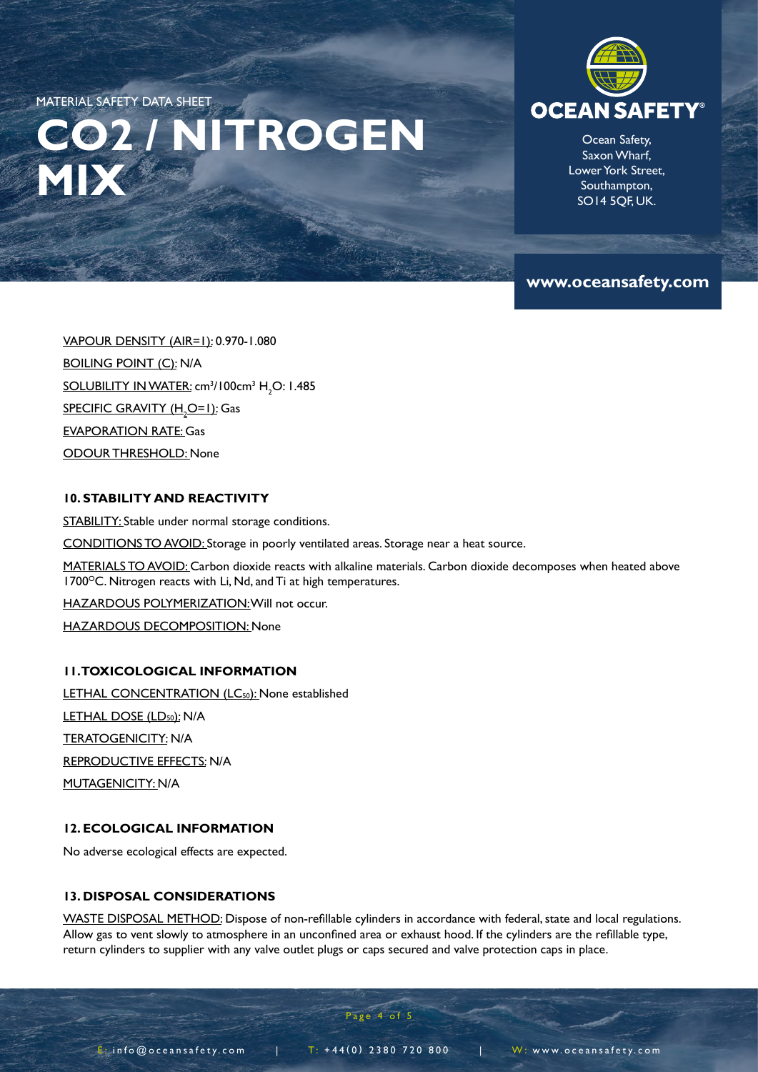# **CO2 / NITROGEN MIX**



Ocean Safety, Saxon Wharf, Lower York Street, Southampton, SO14 5QF, UK.

### **www.oceansafety.com**

VAPOUR DENSITY (AIR=1): 0.970-1.080 BOILING POINT (C): N/A SOLUBILITY IN WATER: cm<sup>3</sup>/100cm<sup>3</sup> H<sub>2</sub>O: 1.485 <u>SPECIFIC GRAVITY (H<sub>2</sub>O=1)</u>: Gas EVAPORATION RATE: Gas ODOUR THRESHOLD: None

#### **10. STABILITY AND REACTIVITY**

STABILITY: Stable under normal storage conditions.

CONDITIONS TO AVOID: Storage in poorly ventilated areas. Storage near a heat source.

MATERIALS TO AVOID: Carbon dioxide reacts with alkaline materials. Carbon dioxide decomposes when heated above  $1700^{\circ}$ C. Nitrogen reacts with Li, Nd, and Ti at high temperatures.

HAZARDOUS POLYMERIZATION: Will not occur.

HAZARDOUS DECOMPOSITION: None

#### **11. TOXICOLOGICAL INFORMATION**

LETHAL CONCENTRATION (LC<sub>50</sub>): None established LETHAL DOSE (LD<sub>50</sub>): N/A TERATOGENICITY: N/A REPRODUCTIVE EFFECTS: N/A MUTAGENICITY: N/A

#### **12. ECOLOGICAL INFORMATION**

No adverse ecological effects are expected.

#### **13. DISPOSAL CONSIDERATIONS**

WASTE DISPOSAL METHOD: Dispose of non-refillable cylinders in accordance with federal, state and local regulations. Allow gas to vent slowly to atmosphere in an unconfined area or exhaust hood. If the cylinders are the refillable type, return cylinders to supplier with any valve outlet plugs or caps secured and valve protection caps in place.

Page 4 of 5